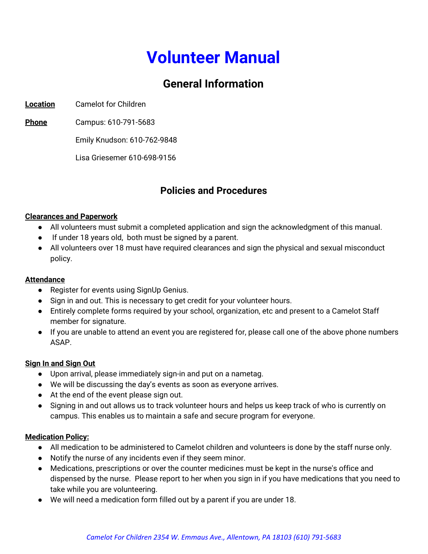# **Volunteer Manual**

# **General Information**

**Location** Camelot for Children

**Phone** Campus: 610-791-5683

Emily Knudson: 610-762-9848

Lisa Griesemer 610-698-9156

# **Policies and Procedures**

#### **Clearances and Paperwork**

- All volunteers must submit a completed application and sign the acknowledgment of this manual.
- If under 18 years old, both must be signed by a parent.
- All volunteers over 18 must have required clearances and sign the physical and sexual misconduct policy.

## **Attendance**

- Register for events using SignUp Genius.
- Sign in and out. This is necessary to get credit for your volunteer hours.
- Entirely complete forms required by your school, organization, etc and present to a Camelot Staff member for signature.
- If you are unable to attend an event you are registered for, please call one of the above phone numbers ASAP.

## **Sign In and Sign Out**

- Upon arrival, please immediately sign-in and put on a nametag.
- We will be discussing the day's events as soon as everyone arrives.
- At the end of the event please sign out.
- Signing in and out allows us to track volunteer hours and helps us keep track of who is currently on campus. This enables us to maintain a safe and secure program for everyone.

## **Medication Policy:**

- All medication to be administered to Camelot children and volunteers is done by the staff nurse only.
- Notify the nurse of any incidents even if they seem minor.
- Medications, prescriptions or over the counter medicines must be kept in the nurse's office and dispensed by the nurse. Please report to her when you sign in if you have medications that you need to take while you are volunteering.
- We will need a medication form filled out by a parent if you are under 18.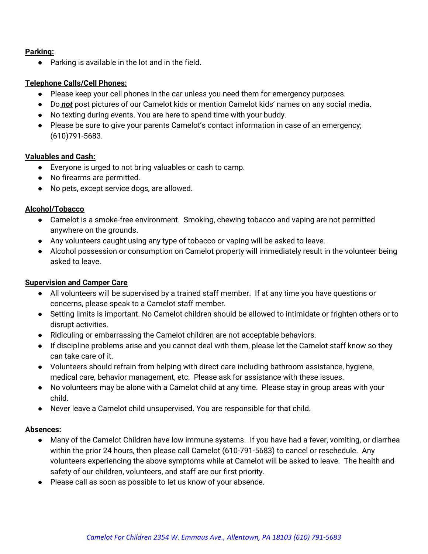### **Parking:**

**●** Parking is available in the lot and in the field.

### **Telephone Calls/Cell Phones:**

- Please keep your cell phones in the car unless you need them for emergency purposes.
- Do *not* post pictures of our Camelot kids or mention Camelot kids' names on any social media.
- No texting during events. You are here to spend time with your buddy.
- Please be sure to give your parents Camelot's contact information in case of an emergency; (610)791-5683.

#### **Valuables and Cash:**

- **●** Everyone is urged to not bring valuables or cash to camp.
- **●** No firearms are permitted.
- **●** No pets, except service dogs, are allowed.

#### **Alcohol/Tobacco**

- **●** Camelot is a smoke-free environment. Smoking, chewing tobacco and vaping are not permitted anywhere on the grounds.
- **●** Any volunteers caught using any type of tobacco or vaping will be asked to leave.
- **●** Alcohol possession or consumption on Camelot property will immediately result in the volunteer being asked to leave.

#### **Supervision and Camper Care**

- **●** All volunteers will be supervised by a trained staff member. If at any time you have questions or concerns, please speak to a Camelot staff member.
- **●** Setting limits is important. No Camelot children should be allowed to intimidate or frighten others or to disrupt activities.
- **●** Ridiculing or embarrassing the Camelot children are not acceptable behaviors.
- **●** If discipline problems arise and you cannot deal with them, please let the Camelot staff know so they can take care of it.
- **●** Volunteers should refrain from helping with direct care including bathroom assistance, hygiene, medical care, behavior management, etc. Please ask for assistance with these issues.
- **●** No volunteers may be alone with a Camelot child at any time. Please stay in group areas with your child.
- **●** Never leave a Camelot child unsupervised. You are responsible for that child.

#### **Absences:**

- **●** Many of the Camelot Children have low immune systems. If you have had a fever, vomiting, or diarrhea within the prior 24 hours, then please call Camelot (610-791-5683) to cancel or reschedule. Any volunteers experiencing the above symptoms while at Camelot will be asked to leave. The health and safety of our children, volunteers, and staff are our first priority.
- **●** Please call as soon as possible to let us know of your absence.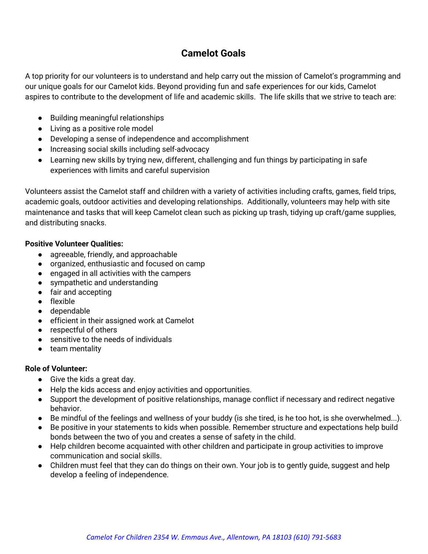# **Camelot Goals**

A top priority for our volunteers is to understand and help carry out the mission of Camelot's programming and our unique goals for our Camelot kids. Beyond providing fun and safe experiences for our kids, Camelot aspires to contribute to the development of life and academic skills. The life skills that we strive to teach are:

- Building meaningful relationships
- Living as a positive role model
- Developing a sense of independence and accomplishment
- Increasing social skills including self-advocacy
- Learning new skills by trying new, different, challenging and fun things by participating in safe experiences with limits and careful supervision

Volunteers assist the Camelot staff and children with a variety of activities including crafts, games, field trips, academic goals, outdoor activities and developing relationships. Additionally, volunteers may help with site maintenance and tasks that will keep Camelot clean such as picking up trash, tidying up craft/game supplies, and distributing snacks.

## **Positive Volunteer Qualities:**

- *●* agreeable, friendly, and approachable
- organized, enthusiastic and focused on camp
- engaged in all activities with the campers
- sympathetic and understanding
- fair and accepting
- flexible
- dependable
- **●** efficient in their assigned work at Camelot
- **●** respectful of others
- **●** sensitive to the needs of individuals
- **●** team mentality

## **Role of Volunteer:**

- $\bullet$  Give the kids a great day.
- Help the kids access and enjoy activities and opportunities.
- Support the development of positive relationships, manage conflict if necessary and redirect negative behavior.
- Be mindful of the feelings and wellness of your buddy (is she tired, is he too hot, is she overwhelmed...).
- Be positive in your statements to kids when possible. Remember structure and expectations help build bonds between the two of you and creates a sense of safety in the child.
- Help children become acquainted with other children and participate in group activities to improve communication and social skills.
- Children must feel that they can do things on their own. Your job is to gently guide, suggest and help develop a feeling of independence.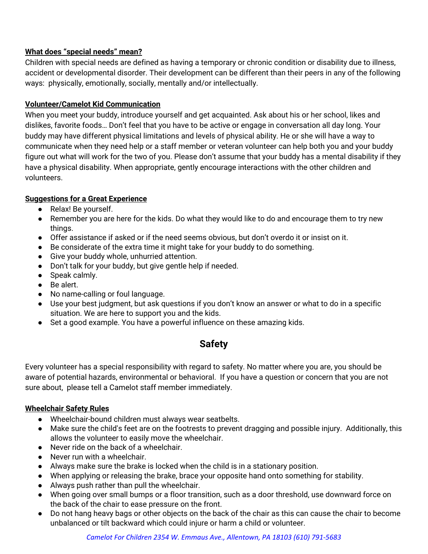## **What does "special needs" mean?**

Children with special needs are defined as having a temporary or chronic condition or disability due to illness, accident or developmental disorder. Their development can be different than their peers in any of the following ways: physically, emotionally, socially, mentally and/or intellectually.

## **Volunteer/Camelot Kid Communication**

When you meet your buddy, introduce yourself and get acquainted. Ask about his or her school, likes and dislikes, favorite foods… Don't feel that you have to be active or engage in conversation all day long. Your buddy may have different physical limitations and levels of physical ability. He or she will have a way to communicate when they need help or a staff member or veteran volunteer can help both you and your buddy figure out what will work for the two of you. Please don't assume that your buddy has a mental disability if they have a physical disability. When appropriate, gently encourage interactions with the other children and volunteers.

# **Suggestions for a Great Experience**

- Relax! Be yourself.
- Remember you are here for the kids. Do what they would like to do and encourage them to try new things.
- Offer assistance if asked or if the need seems obvious, but don't overdo it or insist on it.
- Be considerate of the extra time it might take for your buddy to do something.
- Give your buddy whole, unhurried attention.
- Don't talk for your buddy, but give gentle help if needed.
- Speak calmly.
- Be alert.
- No name-calling or foul language.
- Use your best judgment, but ask questions if you don't know an answer or what to do in a specific situation. We are here to support you and the kids.
- Set a good example. You have a powerful influence on these amazing kids.

# **Safety**

Every volunteer has a special responsibility with regard to safety. No matter where you are, you should be aware of potential hazards, environmental or behavioral. If you have a question or concern that you are not sure about, please tell a Camelot staff member immediately.

# **Wheelchair Safety Rules**

- Wheelchair-bound children must always wear seatbelts.
- Make sure the child's feet are on the footrests to prevent dragging and possible injury. Additionally, this allows the volunteer to easily move the wheelchair.
- Never ride on the back of a wheelchair.
- Never run with a wheelchair.
- Always make sure the brake is locked when the child is in a stationary position.
- When applying or releasing the brake, brace your opposite hand onto something for stability.
- Always push rather than pull the wheelchair.
- When going over small bumps or a floor transition, such as a door threshold, use downward force on the back of the chair to ease pressure on the front.
- Do not hang heavy bags or other objects on the back of the chair as this can cause the chair to become unbalanced or tilt backward which could injure or harm a child or volunteer.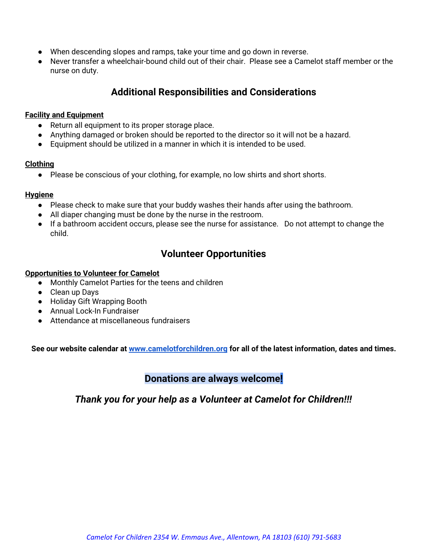- When descending slopes and ramps, take your time and go down in reverse.
- Never transfer a wheelchair-bound child out of their chair. Please see a Camelot staff member or the nurse on duty.

# **Additional Responsibilities and Considerations**

#### **Facility and Equipment**

- **●** Return all equipment to its proper storage place.
- **●** Anything damaged or broken should be reported to the director so it will not be a hazard.
- **●** Equipment should be utilized in a manner in which it is intended to be used.

#### **Clothing**

**●** Please be conscious of your clothing, for example, no low shirts and short shorts.

#### **Hygiene**

- Please check to make sure that your buddy washes their hands after using the bathroom.
- All diaper changing must be done by the nurse in the restroom.
- If a bathroom accident occurs, please see the nurse for assistance. Do not attempt to change the child.

# **Volunteer Opportunities**

#### **Opportunities to Volunteer for Camelot**

- Monthly Camelot Parties for the teens and children
- Clean up Days
- Holiday Gift Wrapping Booth
- Annual Lock-In Fundraiser
- Attendance at miscellaneous fundraisers

**See our website calendar at [www.camelotforchildren.org](http://www.camelorforchildren.org/) for all of the latest information, dates and times.**

# **Donations are always welcome!**

*Thank you for your help as a Volunteer at Camelot for Children!!!*